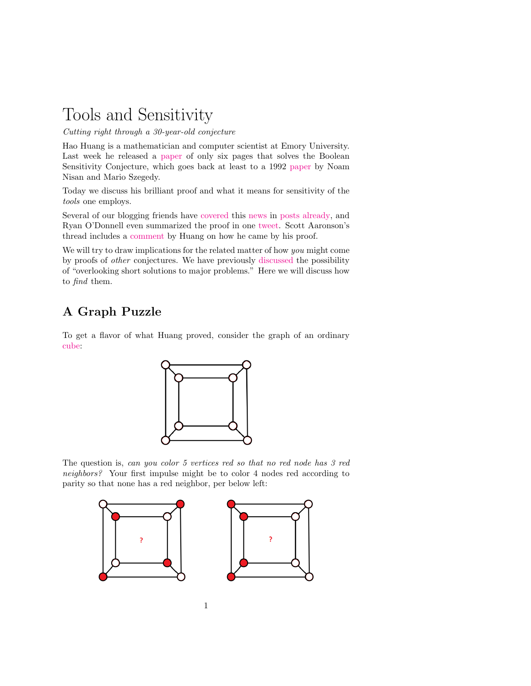# Tools and Sensitivity

Cutting right through a 30-year-old conjecture

Hao Huang is a mathematician and computer scientist at Emory University. Last week he released a [paper](http://www.mathcs.emory.edu/~hhuan30/papers/sensitivity_1.pdf) of only six pages that solves the Boolean Sensitivity Conjecture, which goes back at least to a 1992 [paper](https://www.researchgate.net/publication/2508255_On_the_Degree_of_Boolean_Functions_as_Real_Polynomials) by Noam Nisan and Mario Szegedy.

Today we discuss his brilliant proof and what it means for sensitivity of the tools one employs.

Several of our blogging friends have [covered](https://www.scottaaronson.com/blog/?p=4229) this [news](https://gilkalai.wordpress.com/2019/07/02/amazing-hao-huang-proved-the-sensitivity-conjecture/) in [posts](https://blog.computationalcomplexity.org/2019/07/local-kid-makes-history.html) [already,](https://windowsontheory.org/2019/07/02/sensitivity-conjecture-proved/) and Ryan O'Donnell even summarized the proof in one [tweet.](https://twitter.com/BooleanAnalysis/status/1145837576487612416) Scott Aaronson's thread includes a [comment](https://www.scottaaronson.com/blog/?p=4229#comment-1813116) by Huang on how he came by his proof.

We will try to draw implications for the related matter of how you might come by proofs of other conjectures. We have previously [discussed](https://rjlipton.wordpress.com/2016/04/09/missing-mate-in-ten/) the possibility of "overlooking short solutions to major problems." Here we will discuss how to find them.

## A Graph Puzzle

To get a flavor of what Huang proved, consider the graph of an ordinary [cube:](https://commons.wikimedia.org/wiki/File:Cube_graph.png)



The question is, can you color 5 vertices red so that no red node has 3 red neighbors? Your first impulse might be to color 4 nodes red according to parity so that none has a red neighbor, per below left:

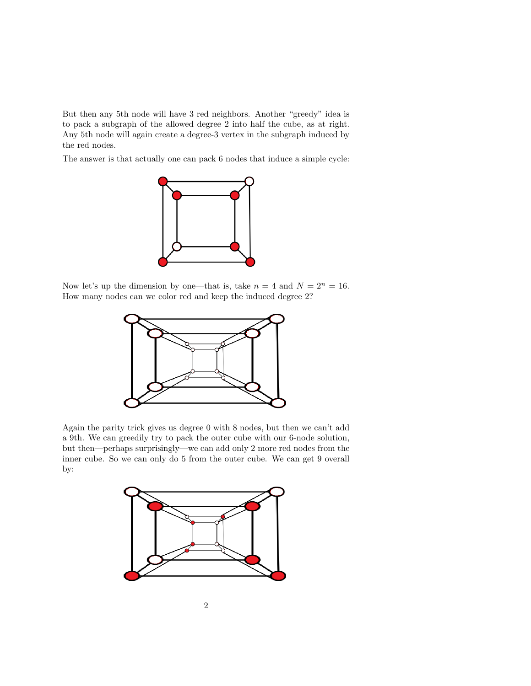But then any 5th node will have 3 red neighbors. Another "greedy" idea is to pack a subgraph of the allowed degree 2 into half the cube, as at right. Any 5th node will again create a degree-3 vertex in the subgraph induced by the red nodes.

The answer is that actually one can pack 6 nodes that induce a simple cycle:



Now let's up the dimension by one—that is, take  $n = 4$  and  $N = 2<sup>n</sup> = 16$ . How many nodes can we color red and keep the induced degree 2?



Again the parity trick gives us degree 0 with 8 nodes, but then we can't add a 9th. We can greedily try to pack the outer cube with our 6-node solution, but then—perhaps surprisingly—we can add only 2 more red nodes from the inner cube. So we can only do 5 from the outer cube. We can get 9 overall by:

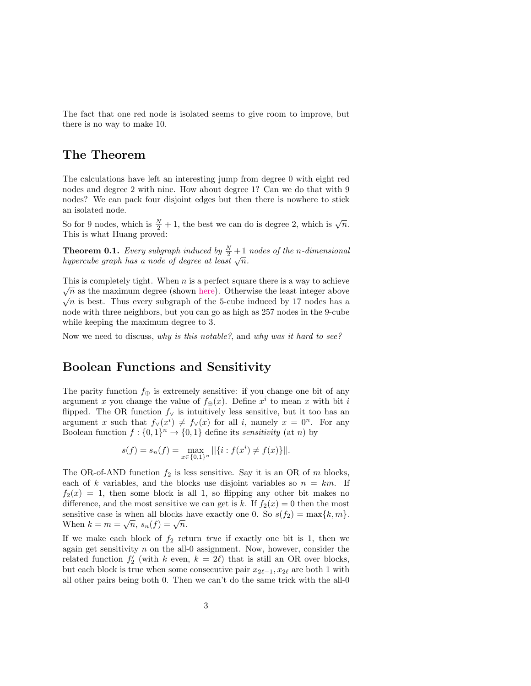The fact that one red node is isolated seems to give room to improve, but there is no way to make 10.

#### The Theorem

The calculations have left an interesting jump from degree 0 with eight red nodes and degree 2 with nine. How about degree 1? Can we do that with 9 nodes? We can pack four disjoint edges but then there is nowhere to stick an isolated node.

So for 9 nodes, which is  $\frac{N}{2} + 1$ , the best we can do is degree 2, which is  $\sqrt{n}$ . This is what Huang proved:

<span id="page-2-0"></span>**Theorem 0.1.** Every subgraph induced by  $\frac{N}{2} + 1$  nodes of the n-dimensional **hypercube graph has a node of degree at least**  $\sqrt{n}$ .

This is completely tight. When *n* is a perfect square there is a way to achieve  $\sqrt{n}$  as the maximum degree (shown [here\)](https://pdfs.semanticscholar.org/3917/3e0cb4e028c94328f1355bf02febea132127.pdf ). Otherwise the least integer above  $\sqrt{n}$  is best. Thus every subgraph of the 5-cube induced by 17 nodes has a node with three neighbors, but you can go as high as 257 nodes in the 9-cube while keeping the maximum degree to 3.

Now we need to discuss, why is this notable?, and why was it hard to see?

#### Boolean Functions and Sensitivity

The parity function  $f_{\oplus}$  is extremely sensitive: if you change one bit of any argument x you change the value of  $f_{\oplus}(x)$ . Define  $x^i$  to mean x with bit i flipped. The OR function  $f_{\vee}$  is intuitively less sensitive, but it too has an argument x such that  $f_{\vee}(x^i) \neq f_{\vee}(x)$  for all i, namely  $x = 0^n$ . For any Boolean function  $f: \{0,1\}^n \to \{0,1\}$  define its sensitivity (at n) by

$$
s(f) = s_n(f) = \max_{x \in \{0,1\}^n} ||\{i : f(x^i) \neq f(x)\}||.
$$

The OR-of-AND function  $f_2$  is less sensitive. Say it is an OR of m blocks, each of k variables, and the blocks use disjoint variables so  $n = km$ . If  $f_2(x) = 1$ , then some block is all 1, so flipping any other bit makes no difference, and the most sensitive we can get is k. If  $f_2(x) = 0$  then the most sensitive case is when all blocks have exactly one 0. So  $s(f_2) = \max\{k, m\}.$ Sensitive case is when an blocks is<br>When  $k = m = \sqrt{n}, s_n(f) = \sqrt{n}$ .

If we make each block of  $f_2$  return *true* if exactly one bit is 1, then we again get sensitivity  $n$  on the all-0 assignment. Now, however, consider the related function  $f'_{2}$  (with k even,  $k = 2\ell$ ) that is still an OR over blocks, but each block is true when some consecutive pair  $x_{2\ell-1}, x_{2\ell}$  are both 1 with all other pairs being both 0. Then we can't do the same trick with the all-0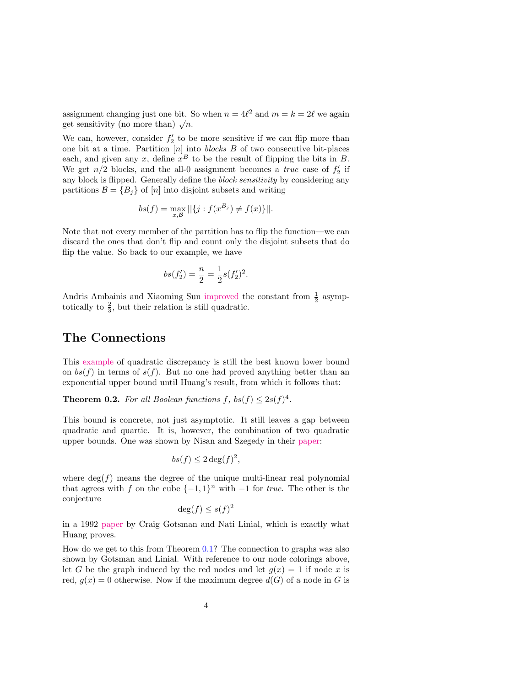assignment changing just one bit. So when  $n = 4\ell^2$  and  $m = k = 2\ell$  we again assignment changing just one bit.

We can, however, consider  $f_2'$  to be more sensitive if we can flip more than one bit at a time. Partition  $[n]$  into *blocks B* of two consecutive bit-places each, and given any x, define  $x^B$  to be the result of flipping the bits in B. We get  $n/2$  blocks, and the all-0 assignment becomes a *true* case of  $f'_2$  if any block is flipped. Generally define the block sensitivity by considering any partitions  $\mathcal{B} = \{B_i\}$  of [n] into disjoint subsets and writing

$$
bs(f) = \max_{x,\mathcal{B}} ||\{j : f(x^{B_j}) \neq f(x)\}||.
$$

Note that not every member of the partition has to flip the function—we can discard the ones that don't flip and count only the disjoint subsets that do flip the value. So back to our example, we have

$$
bs(f_2') = \frac{n}{2} = \frac{1}{2}s(f_2')^2.
$$

Andris Ambainis and Xiaoming Sun [improved](https://arxiv.org/abs/1108.3494) the constant from  $\frac{1}{2}$  asymptotically to  $\frac{2}{3}$ , but their relation is still quadratic.

#### The Connections

This [example](https://link.springer.com/article/10.1007/BF01200762) of quadratic discrepancy is still the best known lower bound on  $bs(f)$  in terms of  $s(f)$ . But no one had proved anything better than an exponential upper bound until Huang's result, from which it follows that:

**Theorem 0.2.** For all Boolean functions  $f$ ,  $bs(f) \leq 2s(f)^4$ .

This bound is concrete, not just asymptotic. It still leaves a gap between quadratic and quartic. It is, however, the combination of two quadratic upper bounds. One was shown by Nisan and Szegedy in their [paper:](https://www.researchgate.net/publication/2508255_On_the_Degree_of_Boolean_Functions_as_Real_Polynomials)

$$
bs(f) \leq 2 \deg(f)^2,
$$

where  $\deg(f)$  means the degree of the unique multi-linear real polynomial that agrees with f on the cube  $\{-1,1\}^n$  with  $-1$  for *true*. The other is the conjecture

$$
\deg(f) \le s(f)^2
$$

in a 1992 [paper](https://www.sciencedirect.com/science/article/pii/0097316592900608) by Craig Gotsman and Nati Linial, which is exactly what Huang proves.

How do we get to this from Theorem [0.1?](#page-2-0) The connection to graphs was also shown by Gotsman and Linial. With reference to our node colorings above, let G be the graph induced by the red nodes and let  $g(x) = 1$  if node x is red,  $g(x) = 0$  otherwise. Now if the maximum degree  $d(G)$  of a node in G is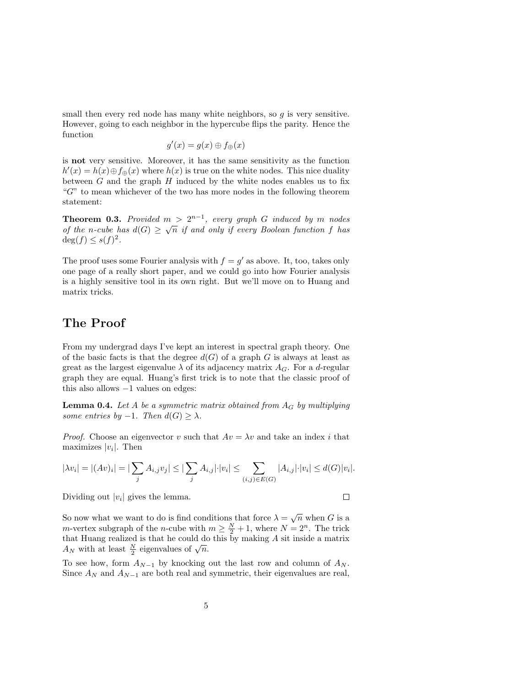small then every red node has many white neighbors, so  $q$  is very sensitive. However, going to each neighbor in the hypercube flips the parity. Hence the function

$$
g'(x) = g(x) \oplus f_{\oplus}(x)
$$

is not very sensitive. Moreover, it has the same sensitivity as the function  $h'(x) = h(x) \oplus f_{\oplus}(x)$  where  $h(x)$  is true on the white nodes. This nice duality between  $G$  and the graph  $H$  induced by the white nodes enables us to fix "G" to mean whichever of the two has more nodes in the following theorem statement:

**Theorem 0.3.** Provided  $m > 2^{n-1}$ , every graph G induced by m nodes of the n-cube has  $d(G) \geq \sqrt{n}$  if and only if every Boolean function f has  $\deg(f) \leq s(f)^2$ .

The proof uses some Fourier analysis with  $f = g'$  as above. It, too, takes only one page of a really short paper, and we could go into how Fourier analysis is a highly sensitive tool in its own right. But we'll move on to Huang and matrix tricks.

#### The Proof

From my undergrad days I've kept an interest in spectral graph theory. One of the basic facts is that the degree  $d(G)$  of a graph G is always at least as great as the largest eigenvalue  $\lambda$  of its adjacency matrix  $A_G$ . For a d-regular graph they are equal. Huang's first trick is to note that the classic proof of this also allows −1 values on edges:

**Lemma 0.4.** Let A be a symmetric matrix obtained from  $A_G$  by multiplying some entries by  $-1$ . Then  $d(G) \geq \lambda$ .

*Proof.* Choose an eigenvector v such that  $Av = \lambda v$  and take an index i that maximizes  $|v_i|$ . Then

$$
|\lambda v_i| = |(Av)_i| = |\sum_j A_{i,j} v_j| \le |\sum_j A_{i,j}| \cdot |v_i| \le \sum_{(i,j) \in E(G)} |A_{i,j}| \cdot |v_i| \le d(G)|v_i|.
$$

Dividing out  $|v_i|$  gives the lemma.

 $\Box$ 

So now what we want to do is find conditions that force  $\lambda = \sqrt{n}$  when G is a *m*-vertex subgraph of the *n*-cube with  $m \geq \frac{N}{2} + 1$ , where  $N = 2<sup>n</sup>$ . The trick that Huang realized is that he could do this by making A sit inside a matrix that fridang realized is that he could do  $A_N$  with at least  $\frac{N}{2}$  eigenvalues of  $\sqrt{n}$ .

To see how, form  $A_{N-1}$  by knocking out the last row and column of  $A_N$ . Since  $A_N$  and  $A_{N-1}$  are both real and symmetric, their eigenvalues are real,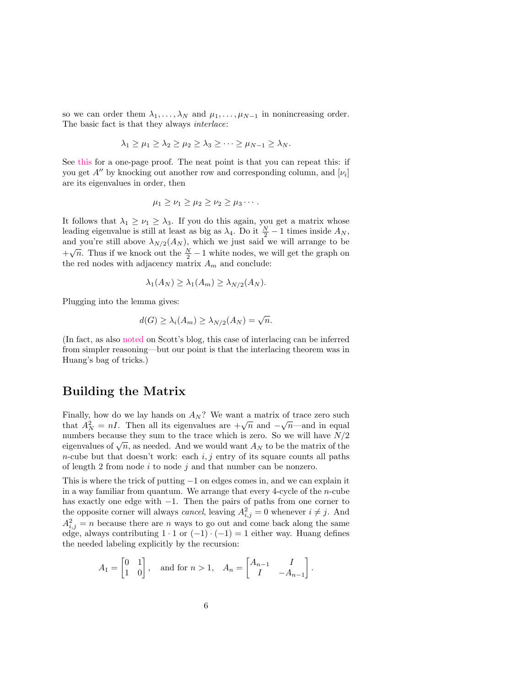so we can order them  $\lambda_1, \ldots, \lambda_N$  and  $\mu_1, \ldots, \mu_{N-1}$  in nonincreasing order. The basic fact is that they always interlace:

$$
\lambda_1 \geq \mu_1 \geq \lambda_2 \geq \mu_2 \geq \lambda_3 \geq \cdots \geq \mu_{N-1} \geq \lambda_N.
$$

See [this](https://arxiv.org/pdf/math/0502408.pdf) for a one-page proof. The neat point is that you can repeat this: if you get  $A''$  by knocking out another row and corresponding column, and  $[\nu_i]$ are its eigenvalues in order, then

$$
\mu_1 \geq \nu_1 \geq \mu_2 \geq \nu_2 \geq \mu_3 \cdots.
$$

It follows that  $\lambda_1 \geq \nu_1 \geq \lambda_3$ . If you do this again, you get a matrix whose leading eigenvalue is still at least as big as  $\lambda_4$ . Do it  $\frac{N}{2} - 1$  times inside  $A_N$ , and you're still above  $\lambda_{N/2}(A_N)$ , which we just said we will arrange to be  $+\sqrt{n}$ . Thus if we knock out the  $\frac{N}{2} - 1$  white nodes, we will get the graph on the red nodes with adjacency matrix  $A_m$  and conclude:

$$
\lambda_1(A_N) \geq \lambda_1(A_m) \geq \lambda_{N/2}(A_N).
$$

Plugging into the lemma gives:

$$
d(G) \ge \lambda_i(A_m) \ge \lambda_{N/2}(A_N) = \sqrt{n}.
$$

(In fact, as also [noted](https://www.scottaaronson.com/blog/?p=4229#comment-1813084) on Scott's blog, this case of interlacing can be inferred from simpler reasoning—but our point is that the interlacing theorem was in Huang's bag of tricks.)

#### Building the Matrix

Finally, how do we lay hands on  $A_N$ ? We want a matrix of trace zero such Finany, now do we fay hands on  $A_N$ : we want a matrix of trace zero such that  $A_N^2 = nI$ . Then all its eigenvalues are  $+\sqrt{n}$  and  $-\sqrt{n}$ —and in equal numbers because they sum to the trace which is zero. So we will have  $N/2$ mumbers because they sum to the trace which is zero. So we will have  $N/2$  eigenvalues of  $\sqrt{n}$ , as needed. And we would want  $A_N$  to be the matrix of the *n*-cube but that doesn't work: each  $i, j$  entry of its square counts all paths of length 2 from node  $i$  to node  $j$  and that number can be nonzero.

This is where the trick of putting −1 on edges comes in, and we can explain it in a way familiar from quantum. We arrange that every 4-cycle of the n-cube has exactly one edge with −1. Then the pairs of paths from one corner to the opposite corner will always *cancel*, leaving  $A_{i,j}^2 = 0$  whenever  $i \neq j$ . And  $A_{i,j}^2 = n$  because there are n ways to go out and come back along the same edge, always contributing  $1 \cdot 1$  or  $(-1) \cdot (-1) = 1$  either way. Huang defines the needed labeling explicitly by the recursion:

$$
A_1 = \begin{bmatrix} 0 & 1 \\ 1 & 0 \end{bmatrix}, \text{ and for } n > 1, \quad A_n = \begin{bmatrix} A_{n-1} & I \\ I & -A_{n-1} \end{bmatrix}.
$$